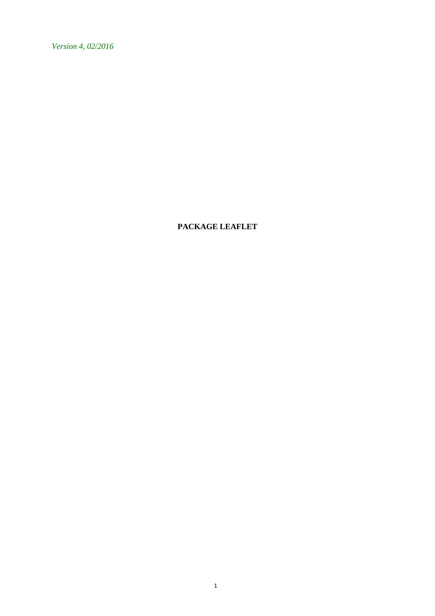*Version 4, 02/2016*

**PACKAGE LEAFLET**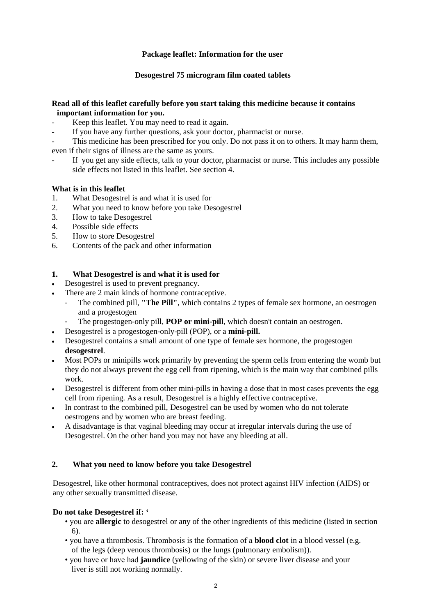# **Package leaflet: Information for the user**

# **Desogestrel 75 microgram film coated tablets**

## **Read all of this leaflet carefully before you start taking this medicine because it contains important information for you.**

- Keep this leaflet. You may need to read it again.
- If you have any further questions, ask your doctor, pharmacist or nurse.

This medicine has been prescribed for you only. Do not pass it on to others. It may harm them, even if their signs of illness are the same as yours.

If you get any side effects, talk to your doctor, pharmacist or nurse. This includes any possible side effects not listed in this leaflet. See section 4.

# **What is in this leaflet**

- 1. What Desogestrel is and what it is used for
- 2. What you need to know before you take Desogestrel
- 3. How to take Desogestrel
- 4. Possible side effects
- 5. How to store Desogestrel
- 6. Contents of the pack and other information

## **1. What Desogestrel is and what it is used for**

- Desogestrel is used to prevent pregnancy.
- There are 2 main kinds of hormone contraceptive.
	- The combined pill, **"The Pill"**, which contains 2 types of female sex hormone, an oestrogen and a progestogen
	- The progestogen-only pill, **POP or mini-pill**, which doesn't contain an oestrogen.
- Desogestrel is a progestogen-only-pill (POP), or a **mini-pill.**
- Desogestrel contains a small amount of one type of female sex hormone, the progestogen **desogestrel**.
- Most POPs or minipills work primarily by preventing the sperm cells from entering the womb but they do not always prevent the egg cell from ripening, which is the main way that combined pills work.
- Desogestrel is different from other mini-pills in having a dose that in most cases prevents the egg cell from ripening. As a result, Desogestrel is a highly effective contraceptive.
- In contrast to the combined pill, Desogestrel can be used by women who do not tolerate oestrogens and by women who are breast feeding.
- A disadvantage is that vaginal bleeding may occur at irregular intervals during the use of Desogestrel. On the other hand you may not have any bleeding at all.

## **2. What you need to know before you take Desogestrel**

Desogestrel, like other hormonal contraceptives, does not protect against HIV infection (AIDS) or any other sexually transmitted disease.

## **Do not take Desogestrel if: '**

- you are **allergic** to desogestrel or any of the other ingredients of this medicine (listed in section 6).
- you have a thrombosis. Thrombosis is the formation of a **blood clot** in a blood vessel (e.g. of the legs (deep venous thrombosis) or the lungs (pulmonary embolism)).
- you have or have had **jaundice** (yellowing of the skin) or severe liver disease and your liver is still not working normally.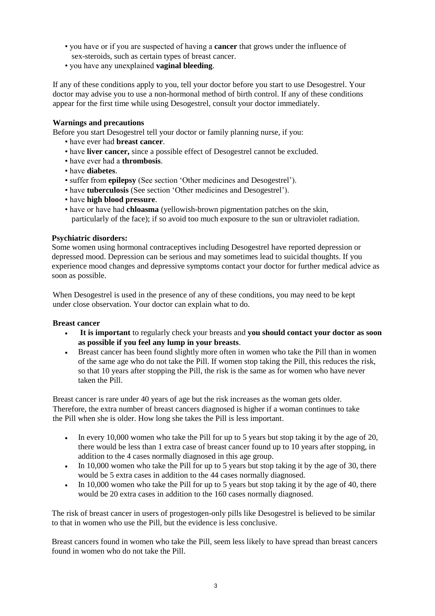- you have or if you are suspected of having a **cancer** that grows under the influence of sex-steroids, such as certain types of breast cancer.
- you have any unexplained **vaginal bleeding**.

If any of these conditions apply to you, tell your doctor before you start to use Desogestrel. Your doctor may advise you to use a non-hormonal method of birth control. If any of these conditions appear for the first time while using Desogestrel, consult your doctor immediately.

# **Warnings and precautions**

Before you start Desogestrel tell your doctor or family planning nurse, if you:

- have ever had **breast cancer**.
- have **liver cancer,** since a possible effect of Desogestrel cannot be excluded.
- have ever had a **thrombosis**.
- have **diabetes**.
- suffer from **epilepsy** (See section 'Other medicines and Desogestrel').
- have **tuberculosis** (See section 'Other medicines and Desogestrel').
- have **high blood pressure**.
- have or have had **chloasma** (yellowish-brown pigmentation patches on the skin, particularly of the face); if so avoid too much exposure to the sun or ultraviolet radiation.

# **Psychiatric disorders:**

Some women using hormonal contraceptives including Desogestrel have reported depression or depressed mood. Depression can be serious and may sometimes lead to suicidal thoughts. If you experience mood changes and depressive symptoms contact your doctor for further medical advice as soon as possible.

When Desogestrel is used in the presence of any of these conditions, you may need to be kept under close observation. Your doctor can explain what to do.

## **Breast cancer**

- **It is important** to regularly check your breasts and **you should contact your doctor as soon as possible if you feel any lump in your breasts**.
- Breast cancer has been found slightly more often in women who take the Pill than in women of the same age who do not take the Pill. If women stop taking the Pill, this reduces the risk, so that 10 years after stopping the Pill, the risk is the same as for women who have never taken the Pill.

Breast cancer is rare under 40 years of age but the risk increases as the woman gets older. Therefore, the extra number of breast cancers diagnosed is higher if a woman continues to take the Pill when she is older. How long she takes the Pill is less important.

- In every 10,000 women who take the Pill for up to 5 years but stop taking it by the age of 20, there would be less than 1 extra case of breast cancer found up to 10 years after stopping, in addition to the 4 cases normally diagnosed in this age group.
- In 10,000 women who take the Pill for up to 5 years but stop taking it by the age of 30, there would be 5 extra cases in addition to the 44 cases normally diagnosed.
- In 10,000 women who take the Pill for up to 5 years but stop taking it by the age of 40, there would be 20 extra cases in addition to the 160 cases normally diagnosed.

The risk of breast cancer in users of progestogen-only pills like Desogestrel is believed to be similar to that in women who use the Pill, but the evidence is less conclusive.

Breast cancers found in women who take the Pill, seem less likely to have spread than breast cancers found in women who do not take the Pill.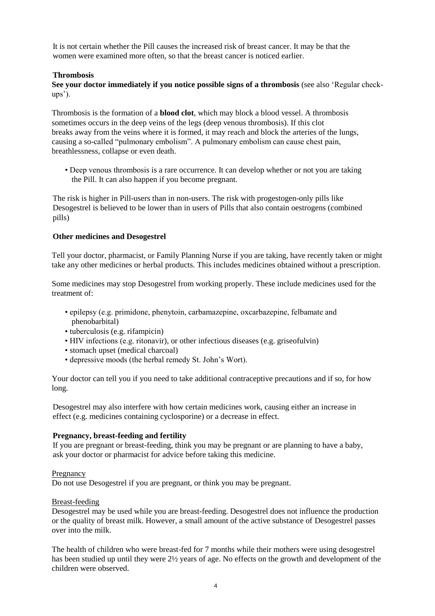It is not certain whether the Pill causes the increased risk of breast cancer. It may be that the women were examined more often, so that the breast cancer is noticed earlier.

## **Thrombosis**

**See your doctor immediately if you notice possible signs of a thrombosis** (see also 'Regular checkups').

Thrombosis is the formation of a **blood clot**, which may block a blood vessel. A thrombosis sometimes occurs in the deep veins of the legs (deep venous thrombosis). If this clot breaks away from the veins where it is formed, it may reach and block the arteries of the lungs, causing a so-called "pulmonary embolism". A pulmonary embolism can cause chest pain, breathlessness, collapse or even death.

• Deep venous thrombosis is a rare occurrence. It can develop whether or not you are taking the Pill. It can also happen if you become pregnant.

The risk is higher in Pill-users than in non-users. The risk with progestogen-only pills like Desogestrel is believed to be lower than in users of Pills that also contain oestrogens (combined pills)

#### **Other medicines and Desogestrel**

Tell your doctor, pharmacist, or Family Planning Nurse if you are taking, have recently taken or might take any other medicines or herbal products. This includes medicines obtained without a prescription.

Some medicines may stop Desogestrel from working properly. These include medicines used for the treatment of:

- epilepsy (e.g. primidone, phenytoin, carbamazepine, oxcarbazepine, felbamate and phenobarbital)
- tuberculosis (e.g. rifampicin)
- HIV infections (e.g. ritonavir), or other infectious diseases (e.g. griseofulvin)
- stomach upset (medical charcoal)
- depressive moods (the herbal remedy St. John's Wort).

Your doctor can tell you if you need to take additional contraceptive precautions and if so, for how long.

Desogestrel may also interfere with how certain medicines work, causing either an increase in effect (e.g. medicines containing cyclosporine) or a decrease in effect.

#### **Pregnancy, breast-feeding and fertility**

If you are pregnant or breast-feeding, think you may be pregnant or are planning to have a baby, ask your doctor or pharmacist for advice before taking this medicine.

#### Pregnancy

Do not use Desogestrel if you are pregnant, or think you may be pregnant.

## Breast-feeding

Desogestrel may be used while you are breast-feeding. Desogestrel does not influence the production or the quality of breast milk. However, a small amount of the active substance of Desogestrel passes over into the milk.

The health of children who were breast-fed for 7 months while their mothers were using desogestrel has been studied up until they were 2½ years of age. No effects on the growth and development of the children were observed.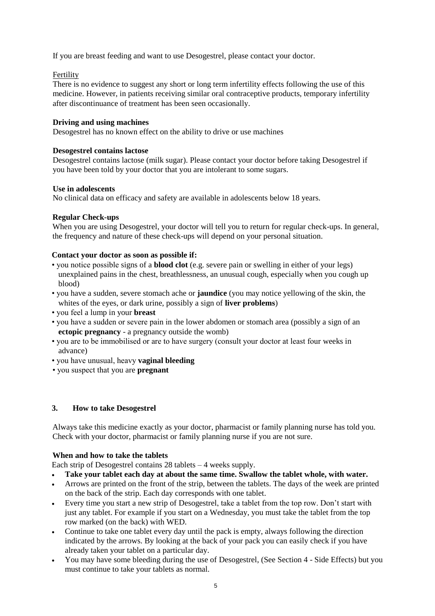If you are breast feeding and want to use Desogestrel, please contact your doctor.

# Fertility

There is no evidence to suggest any short or long term infertility effects following the use of this medicine. However, in patients receiving similar oral contraceptive products, temporary infertility after discontinuance of treatment has been seen occasionally.

# **Driving and using machines**

Desogestrel has no known effect on the ability to drive or use machines

## **Desogestrel contains lactose**

Desogestrel contains lactose (milk sugar). Please contact your doctor before taking Desogestrel if you have been told by your doctor that you are intolerant to some sugars.

## **Use in adolescents**

No clinical data on efficacy and safety are available in adolescents below 18 years.

# **Regular Check-ups**

When you are using Desogestrel, your doctor will tell you to return for regular check-ups. In general, the frequency and nature of these check-ups will depend on your personal situation.

# **Contact your doctor as soon as possible if:**

- you notice possible signs of a **blood clot** (e.g. severe pain or swelling in either of your legs) unexplained pains in the chest, breathlessness, an unusual cough, especially when you cough up blood)
- you have a sudden, severe stomach ache or **jaundice** (you may notice yellowing of the skin, the whites of the eyes, or dark urine, possibly a sign of **liver problems**)
- you feel a lump in your **breast**
- you have a sudden or severe pain in the lower abdomen or stomach area (possibly a sign of an **ectopic pregnancy** - a pregnancy outside the womb)
- you are to be immobilised or are to have surgery (consult your doctor at least four weeks in advance)
- you have unusual, heavy **vaginal bleeding**
- you suspect that you are **pregnant**

## **3. How to take Desogestrel**

Always take this medicine exactly as your doctor, pharmacist or family planning nurse has told you. Check with your doctor, pharmacist or family planning nurse if you are not sure.

## **When and how to take the tablets**

Each strip of Desogestrel contains 28 tablets – 4 weeks supply.

- **Take your tablet each day at about the same time. Swallow the tablet whole, with water.**
- Arrows are printed on the front of the strip, between the tablets. The days of the week are printed on the back of the strip. Each day corresponds with one tablet.
- Every time you start a new strip of Desogestrel, take a tablet from the top row. Don't start with just any tablet. For example if you start on a Wednesday, you must take the tablet from the top row marked (on the back) with WED.
- Continue to take one tablet every day until the pack is empty, always following the direction indicated by the arrows. By looking at the back of your pack you can easily check if you have already taken your tablet on a particular day.
- You may have some bleeding during the use of Desogestrel, (See Section 4 Side Effects) but you must continue to take your tablets as normal.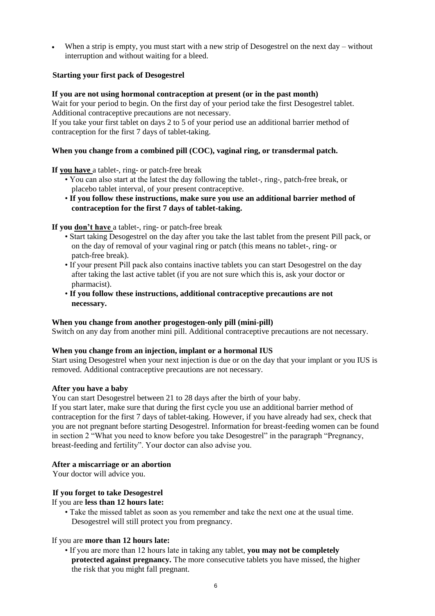When a strip is empty, you must start with a new strip of Desogestrel on the next day – without interruption and without waiting for a bleed.

## **Starting your first pack of Desogestrel**

#### **If you are not using hormonal contraception at present (or in the past month)**

Wait for your period to begin. On the first day of your period take the first Desogestrel tablet. Additional contraceptive precautions are not necessary.

If you take your first tablet on days 2 to 5 of your period use an additional barrier method of contraception for the first 7 days of tablet-taking.

## **When you change from a combined pill (COC), vaginal ring, or transdermal patch.**

**If you have** a tablet-, ring- or patch-free break

- You can also start at the latest the day following the tablet-, ring-, patch-free break, or placebo tablet interval, of your present contraceptive.
- **If you follow these instructions, make sure you use an additional barrier method of contraception for the first 7 days of tablet-taking.**

#### **If you don't have** a tablet-, ring- or patch-free break

- Start taking Desogestrel on the day after you take the last tablet from the present Pill pack, or on the day of removal of your vaginal ring or patch (this means no tablet-, ring- or patch-free break).
- If your present Pill pack also contains inactive tablets you can start Desogestrel on the day after taking the last active tablet (if you are not sure which this is, ask your doctor or pharmacist).
- **If you follow these instructions, additional contraceptive precautions are not necessary.**

## **When you change from another progestogen-only pill (mini-pill)**

Switch on any day from another mini pill. Additional contraceptive precautions are not necessary.

#### **When you change from an injection, implant or a hormonal IUS**

Start using Desogestrel when your next injection is due or on the day that your implant or you IUS is removed. Additional contraceptive precautions are not necessary.

# **After you have a baby**

You can start Desogestrel between 21 to 28 days after the birth of your baby.

If you start later, make sure that during the first cycle you use an additional barrier method of contraception for the first 7 days of tablet-taking. However, if you have already had sex, check that you are not pregnant before starting Desogestrel. Information for breast-feeding women can be found in section 2 "What you need to know before you take Desogestrel" in the paragraph "Pregnancy, breast-feeding and fertility". Your doctor can also advise you.

## **After a miscarriage or an abortion**

Your doctor will advice you.

## **If you forget to take Desogestrel**

#### If you are **less than 12 hours late:**

• Take the missed tablet as soon as you remember and take the next one at the usual time. Desogestrel will still protect you from pregnancy.

#### If you are **more than 12 hours late:**

• If you are more than 12 hours late in taking any tablet, **you may not be completely protected against pregnancy.** The more consecutive tablets you have missed, the higher the risk that you might fall pregnant.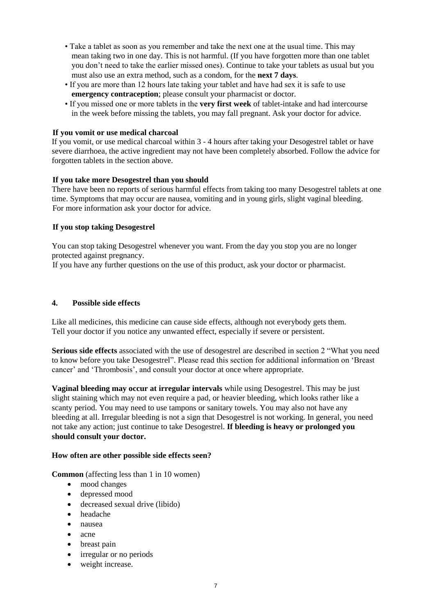- Take a tablet as soon as you remember and take the next one at the usual time. This may mean taking two in one day. This is not harmful. (If you have forgotten more than one tablet you don't need to take the earlier missed ones). Continue to take your tablets as usual but you must also use an extra method, such as a condom, for the **next 7 days**.
- If you are more than 12 hours late taking your tablet and have had sex it is safe to use **emergency contraception**; please consult your pharmacist or doctor.
- If you missed one or more tablets in the **very first week** of tablet-intake and had intercourse in the week before missing the tablets, you may fall pregnant. Ask your doctor for advice.

## **If you vomit or use medical charcoal**

If you vomit, or use medical charcoal within 3 - 4 hours after taking your Desogestrel tablet or have severe diarrhoea, the active ingredient may not have been completely absorbed. Follow the advice for forgotten tablets in the section above.

# **If you take more Desogestrel than you should**

There have been no reports of serious harmful effects from taking too many Desogestrel tablets at one time. Symptoms that may occur are nausea, vomiting and in young girls, slight vaginal bleeding. For more information ask your doctor for advice.

# **If you stop taking Desogestrel**

You can stop taking Desogestrel whenever you want. From the day you stop you are no longer protected against pregnancy.

If you have any further questions on the use of this product, ask your doctor or pharmacist.

## **4. Possible side effects**

Like all medicines, this medicine can cause side effects, although not everybody gets them. Tell your doctor if you notice any unwanted effect, especially if severe or persistent.

**Serious side effects** associated with the use of desogestrel are described in section 2 "What you need to know before you take Desogestrel". Please read this section for additional information on 'Breast cancer' and 'Thrombosis', and consult your doctor at once where appropriate.

**Vaginal bleeding may occur at irregular intervals** while using Desogestrel. This may be just slight staining which may not even require a pad, or heavier bleeding, which looks rather like a scanty period. You may need to use tampons or sanitary towels. You may also not have any bleeding at all. Irregular bleeding is not a sign that Desogestrel is not working. In general, you need not take any action; just continue to take Desogestrel. **If bleeding is heavy or prolonged you should consult your doctor.**

## **How often are other possible side effects seen?**

**Common** (affecting less than 1 in 10 women)

- mood changes
- depressed mood
- decreased sexual drive (libido)
- headache
- nausea
- acne
- breast pain
- irregular or no periods
- weight increase.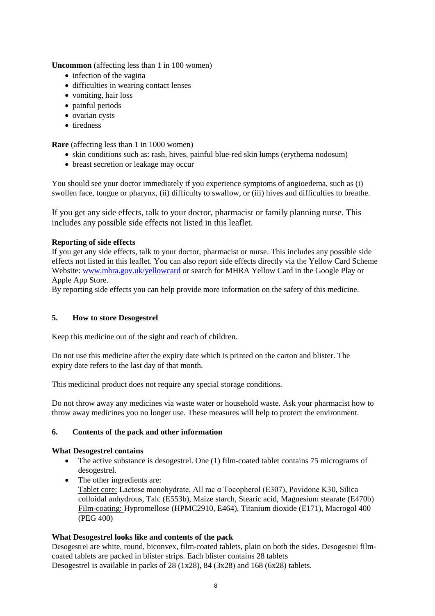**Uncommon** (affecting less than 1 in 100 women)

- infection of the vagina
- difficulties in wearing contact lenses
- vomiting, hair loss
- painful periods
- ovarian cysts
- tiredness

**Rare** (affecting less than 1 in 1000 women)

- skin conditions such as: rash, hives, painful blue-red skin lumps (erythema nodosum)
- breast secretion or leakage may occur

You should see your doctor immediately if you experience symptoms of angioedema, such as (i) swollen face, tongue or pharynx, (ii) difficulty to swallow, or (iii) hives and difficulties to breathe.

If you get any side effects, talk to your doctor, pharmacist or family planning nurse. This includes any possible side effects not listed in this leaflet.

# **Reporting of side effects**

If you get any side effects, talk to your doctor, pharmacist or nurse. This includes any possible side effects not listed in this leaflet. You can also report side effects directly via the Yellow Card Scheme Website: www.mhra.gov.uk/yellowcard or search for MHRA Yellow Card in the Google Play or Apple App Store.

By reporting side effects you can help provide more information on the safety of this medicine.

## **5. How to store Desogestrel**

Keep this medicine out of the sight and reach of children.

Do not use this medicine after the expiry date which is printed on the carton and blister. The expiry date refers to the last day of that month.

This medicinal product does not require any special storage conditions.

Do not throw away any medicines via waste water or household waste. Ask your pharmacist how to throw away medicines you no longer use. These measures will help to protect the environment.

## **6. Contents of the pack and other information**

## **What Desogestrel contains**

- The active substance is desogestrel. One (1) film-coated tablet contains 75 micrograms of desogestrel.
- The other ingredients are: Tablet core: Lactose monohydrate, All rac α Tocopherol (E307), Povidone K30, Silica colloidal anhydrous, Talc (E553b), Maize starch, Stearic acid, Magnesium stearate (E470b) Film-coating: Hypromellose (HPMC2910, E464), Titanium dioxide (E171), Macrogol 400 (PEG 400)

## **What Desogestrel looks like and contents of the pack**

Desogestrel are white, round, biconvex, film-coated tablets, plain on both the sides. Desogestrel filmcoated tablets are packed in blister strips. Each blister contains 28 tablets Desogestrel is available in packs of 28 (1x28), 84 (3x28) and 168 (6x28) tablets.